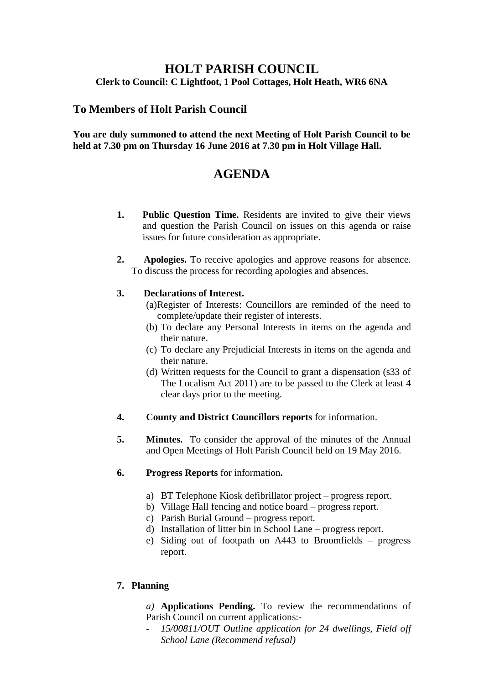# **HOLT PARISH COUNCIL Clerk to Council: C Lightfoot, 1 Pool Cottages, Holt Heath, WR6 6NA**

# **To Members of Holt Parish Council**

### **You are duly summoned to attend the next Meeting of Holt Parish Council to be held at 7.30 pm on Thursday 16 June 2016 at 7.30 pm in Holt Village Hall.**

# **AGENDA**

- **1. Public Question Time.** Residents are invited to give their views and question the Parish Council on issues on this agenda or raise issues for future consideration as appropriate.
- **2. Apologies.** To receive apologies and approve reasons for absence. To discuss the process for recording apologies and absences.

# **3. Declarations of Interest.**

- (a)Register of Interests: Councillors are reminded of the need to complete/update their register of interests.
- (b) To declare any Personal Interests in items on the agenda and their nature.
- (c) To declare any Prejudicial Interests in items on the agenda and their nature.
- (d) Written requests for the Council to grant a dispensation (s33 of The Localism Act 2011) are to be passed to the Clerk at least 4 clear days prior to the meeting.
- **4. County and District Councillors reports** for information.
- **5. Minutes.** To consider the approval of the minutes of the Annual and Open Meetings of Holt Parish Council held on 19 May 2016.
- **6. Progress Reports** for information**.**
	- a) BT Telephone Kiosk defibrillator project progress report.
	- b) Village Hall fencing and notice board progress report.
	- c) Parish Burial Ground progress report.
	- d) Installation of litter bin in School Lane progress report.
	- e) Siding out of footpath on A443 to Broomfields progress report.

# **7. Planning**

*a)* **Applications Pending.** To review the recommendations of Parish Council on current applications:-

**-** *15/00811/OUT Outline application for 24 dwellings, Field off School Lane (Recommend refusal)*